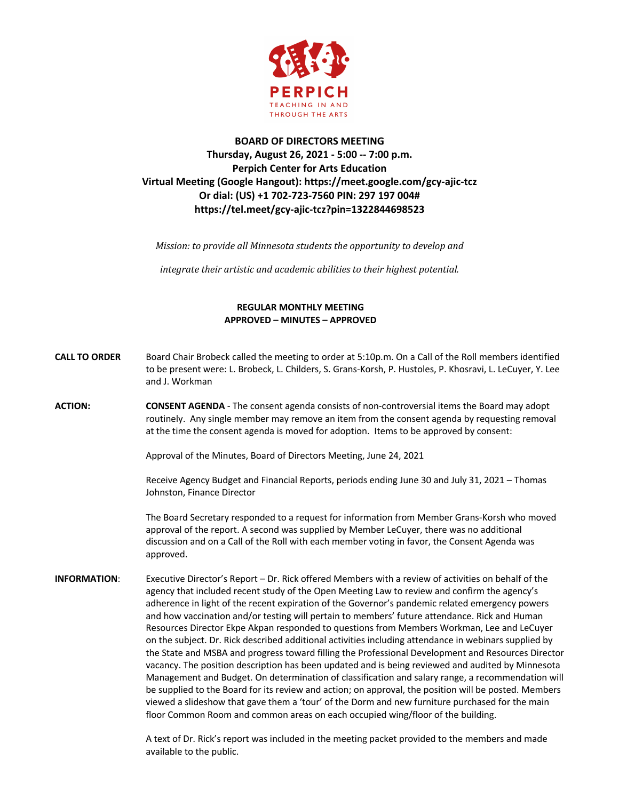

## **BOARD OF DIRECTORS MEETING Thursday, August 26, 2021 - 5:00 -- 7:00 p.m. Perpich Center for Arts Education Virtual Meeting (Google Hangout): https://meet.google.com/gcy-ajic-tcz Or dial: (US) +1 702-723-7560 PIN: 297 197 004# https://tel.meet/gcy-ajic-tcz?pin=1322844698523**

*Mission:* to provide all Minnesota students the opportunity to develop and

*integrate their artistic and academic abilities to their highest potential.* 

## **REGULAR MONTHLY MEETING APPROVED – MINUTES – APPROVED**

- **CALL TO ORDER** Board Chair Brobeck called the meeting to order at 5:10p.m. On a Call of the Roll members identified to be present were: L. Brobeck, L. Childers, S. Grans-Korsh, P. Hustoles, P. Khosravi, L. LeCuyer, Y. Lee and J. Workman
- **ACTION: CONSENT AGENDA**  The consent agenda consists of non-controversial items the Board may adopt routinely. Any single member may remove an item from the consent agenda by requesting removal at the time the consent agenda is moved for adoption. Items to be approved by consent:

Approval of the Minutes, Board of Directors Meeting, June 24, 2021

Receive Agency Budget and Financial Reports, periods ending June 30 and July 31, 2021 – Thomas Johnston, Finance Director

The Board Secretary responded to a request for information from Member Grans-Korsh who moved approval of the report. A second was supplied by Member LeCuyer, there was no additional discussion and on a Call of the Roll with each member voting in favor, the Consent Agenda was approved.

**INFORMATION**: Executive Director's Report – Dr. Rick offered Members with a review of activities on behalf of the agency that included recent study of the Open Meeting Law to review and confirm the agency's adherence in light of the recent expiration of the Governor's pandemic related emergency powers and how vaccination and/or testing will pertain to members' future attendance. Rick and Human Resources Director Ekpe Akpan responded to questions from Members Workman, Lee and LeCuyer on the subject. Dr. Rick described additional activities including attendance in webinars supplied by the State and MSBA and progress toward filling the Professional Development and Resources Director vacancy. The position description has been updated and is being reviewed and audited by Minnesota Management and Budget. On determination of classification and salary range, a recommendation will be supplied to the Board for its review and action; on approval, the position will be posted. Members viewed a slideshow that gave them a 'tour' of the Dorm and new furniture purchased for the main floor Common Room and common areas on each occupied wing/floor of the building.

> A text of Dr. Rick's report was included in the meeting packet provided to the members and made available to the public.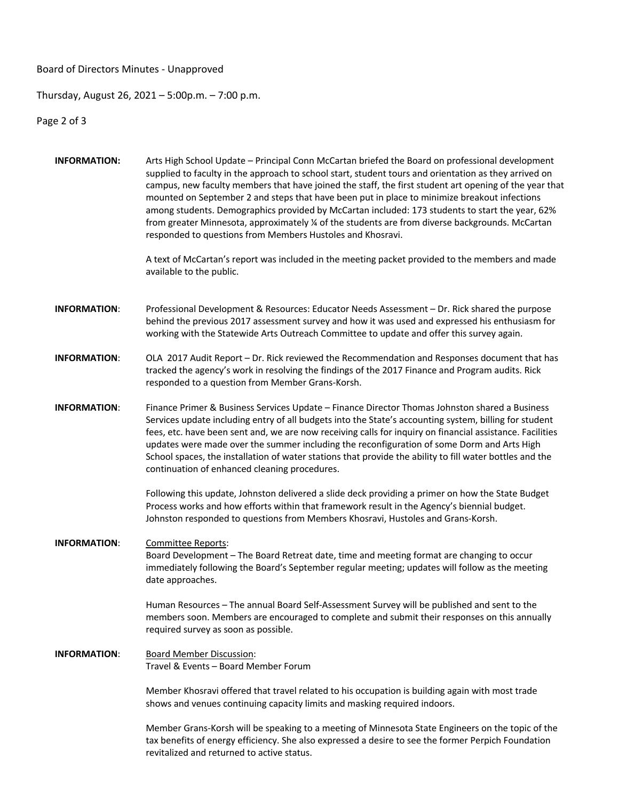Board of Directors Minutes - Unapproved

## Thursday, August 26, 2021 – 5:00p.m. – 7:00 p.m.

Page 2 of 3

**INFORMATION:** Arts High School Update – Principal Conn McCartan briefed the Board on professional development supplied to faculty in the approach to school start, student tours and orientation as they arrived on campus, new faculty members that have joined the staff, the first student art opening of the year that mounted on September 2 and steps that have been put in place to minimize breakout infections among students. Demographics provided by McCartan included: 173 students to start the year, 62% from greater Minnesota, approximately ¼ of the students are from diverse backgrounds. McCartan responded to questions from Members Hustoles and Khosravi. A text of McCartan's report was included in the meeting packet provided to the members and made available to the public. **INFORMATION**: Professional Development & Resources: Educator Needs Assessment – Dr. Rick shared the purpose behind the previous 2017 assessment survey and how it was used and expressed his enthusiasm for working with the Statewide Arts Outreach Committee to update and offer this survey again. **INFORMATION**: OLA 2017 Audit Report – Dr. Rick reviewed the Recommendation and Responses document that has tracked the agency's work in resolving the findings of the 2017 Finance and Program audits. Rick responded to a question from Member Grans-Korsh. **INFORMATION**: Finance Primer & Business Services Update – Finance Director Thomas Johnston shared a Business Services update including entry of all budgets into the State's accounting system, billing for student fees, etc. have been sent and, we are now receiving calls for inquiry on financial assistance. Facilities updates were made over the summer including the reconfiguration of some Dorm and Arts High School spaces, the installation of water stations that provide the ability to fill water bottles and the continuation of enhanced cleaning procedures. Following this update, Johnston delivered a slide deck providing a primer on how the State Budget Process works and how efforts within that framework result in the Agency's biennial budget. Johnston responded to questions from Members Khosravi, Hustoles and Grans-Korsh. **INFORMATION**: Committee Reports: Board Development – The Board Retreat date, time and meeting format are changing to occur immediately following the Board's September regular meeting; updates will follow as the meeting date approaches. Human Resources – The annual Board Self-Assessment Survey will be published and sent to the members soon. Members are encouraged to complete and submit their responses on this annually required survey as soon as possible. **INFORMATION**: Board Member Discussion: Travel & Events – Board Member Forum Member Khosravi offered that travel related to his occupation is building again with most trade shows and venues continuing capacity limits and masking required indoors. Member Grans-Korsh will be speaking to a meeting of Minnesota State Engineers on the topic of the tax benefits of energy efficiency. She also expressed a desire to see the former Perpich Foundation revitalized and returned to active status.